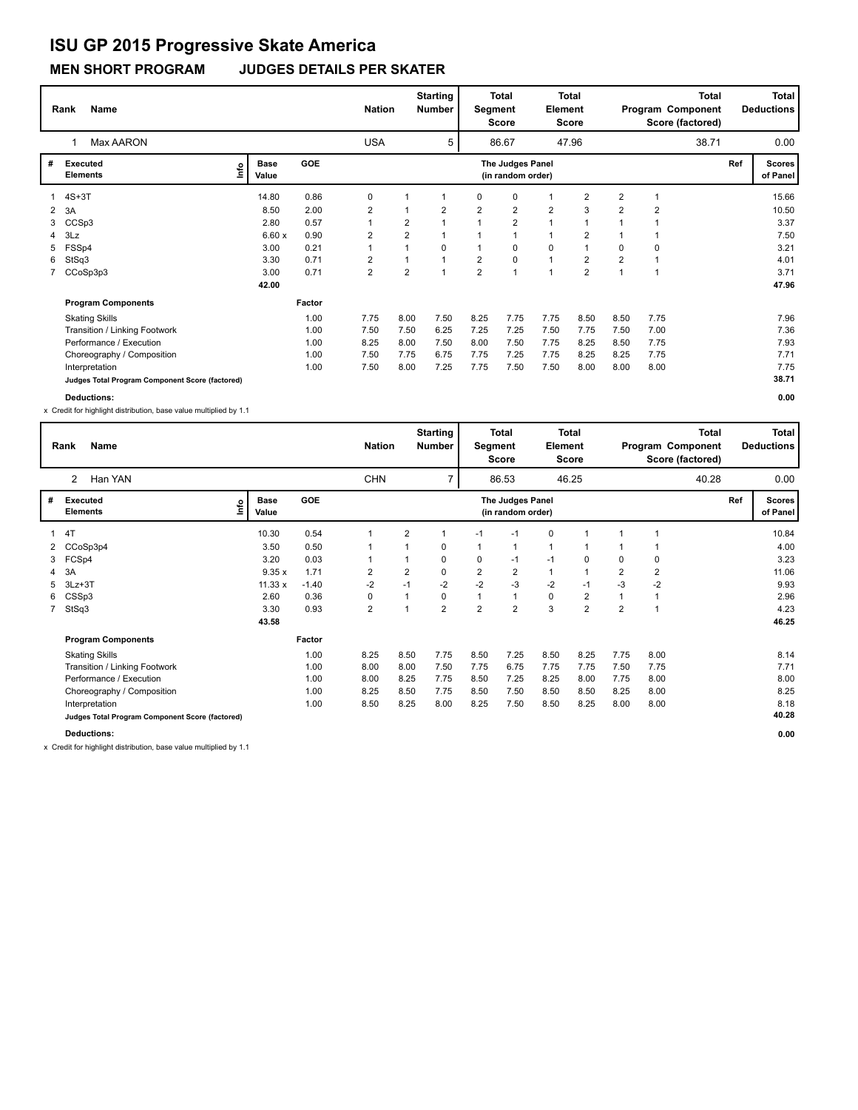### **MEN SHORT PROGRAM JUDGES DETAILS PER SKATER**

|                | <b>Name</b><br>Rank                             |                             |       |            | <b>Nation</b>  |                | <b>Starting</b><br><b>Number</b> | Segment        | <b>Total</b><br><b>Score</b>          | Element        | <b>Total</b><br><b>Score</b> |                |                | <b>Total</b><br>Program Component<br>Score (factored) |     | <b>Total</b><br><b>Deductions</b> |
|----------------|-------------------------------------------------|-----------------------------|-------|------------|----------------|----------------|----------------------------------|----------------|---------------------------------------|----------------|------------------------------|----------------|----------------|-------------------------------------------------------|-----|-----------------------------------|
|                | <b>Max AARON</b>                                |                             |       |            | <b>USA</b>     |                | 5                                |                | 86.67                                 |                | 47.96                        |                |                | 38.71                                                 |     | 0.00                              |
| #              | Executed<br><b>Elements</b>                     | <b>Base</b><br>lmo<br>Value |       | <b>GOE</b> |                |                |                                  |                | The Judges Panel<br>(in random order) |                |                              |                |                |                                                       | Ref | Scores  <br>of Panel              |
| $\mathbf{1}$   | $4S+3T$                                         |                             | 14.80 | 0.86       | 0              |                | 1                                | 0              | 0                                     |                | $\overline{2}$               | $\overline{2}$ | -1             |                                                       |     | 15.66                             |
| $\overline{2}$ | 3A                                              |                             | 8.50  | 2.00       | $\overline{2}$ |                | $\overline{2}$                   | $\overline{2}$ | $\overline{2}$                        | $\overline{2}$ | 3                            | $\overline{2}$ | $\overline{2}$ |                                                       |     | 10.50                             |
| 3              | CCSp3                                           |                             | 2.80  | 0.57       | $\mathbf{1}$   | $\overline{2}$ |                                  |                | $\overline{2}$                        |                | 1                            |                |                |                                                       |     | 3.37                              |
| 4              | 3Lz                                             |                             | 6.60x | 0.90       | $\overline{2}$ | $\overline{2}$ |                                  |                | $\mathbf{1}$                          | 1              | $\overline{2}$               |                |                |                                                       |     | 7.50                              |
| 5              | FSSp4                                           |                             | 3.00  | 0.21       | $\mathbf{1}$   |                | 0                                |                | 0                                     | 0              | 1                            | 0              | $\mathbf 0$    |                                                       |     | 3.21                              |
| 6              | StSq3                                           |                             | 3.30  | 0.71       | $\overline{2}$ |                |                                  | 2              | $\mathbf 0$                           | $\mathbf{1}$   | $\overline{2}$               | $\overline{2}$ |                |                                                       |     | 4.01                              |
|                | 7 CCoSp3p3                                      |                             | 3.00  | 0.71       | $\overline{2}$ | $\overline{2}$ | 1                                | $\overline{2}$ | $\overline{1}$                        |                | $\overline{2}$               | 1              |                |                                                       |     | 3.71                              |
|                |                                                 |                             | 42.00 |            |                |                |                                  |                |                                       |                |                              |                |                |                                                       |     | 47.96                             |
|                | <b>Program Components</b>                       |                             |       | Factor     |                |                |                                  |                |                                       |                |                              |                |                |                                                       |     |                                   |
|                | <b>Skating Skills</b>                           |                             |       | 1.00       | 7.75           | 8.00           | 7.50                             | 8.25           | 7.75                                  | 7.75           | 8.50                         | 8.50           | 7.75           |                                                       |     | 7.96                              |
|                | Transition / Linking Footwork                   |                             |       | 1.00       | 7.50           | 7.50           | 6.25                             | 7.25           | 7.25                                  | 7.50           | 7.75                         | 7.50           | 7.00           |                                                       |     | 7.36                              |
|                | Performance / Execution                         |                             |       | 1.00       | 8.25           | 8.00           | 7.50                             | 8.00           | 7.50                                  | 7.75           | 8.25                         | 8.50           | 7.75           |                                                       |     | 7.93                              |
|                | Choreography / Composition                      |                             |       | 1.00       | 7.50           | 7.75           | 6.75                             | 7.75           | 7.25                                  | 7.75           | 8.25                         | 8.25           | 7.75           |                                                       |     | 7.71                              |
|                | Interpretation                                  |                             |       | 1.00       | 7.50           | 8.00           | 7.25                             | 7.75           | 7.50                                  | 7.50           | 8.00                         | 8.00           | 8.00           |                                                       |     | 7.75                              |
|                | Judges Total Program Component Score (factored) |                             |       |            |                |                |                                  |                |                                       |                |                              |                |                |                                                       |     | 38.71                             |
|                | <b>Deductions:</b>                              |                             |       |            |                |                |                                  |                |                                       |                |                              |                |                |                                                       |     | 0.00                              |

x Credit for highlight distribution, base value multiplied by 1.1

|             | Name<br>Rank                                    |    |                      |            | <b>Nation</b>  |                | <b>Starting</b><br><b>Number</b> | Segment        | <b>Total</b><br>Score                 | Element      | Total<br>Score |                |                | Total<br>Program Component<br>Score (factored) |     | <b>Total</b><br><b>Deductions</b> |
|-------------|-------------------------------------------------|----|----------------------|------------|----------------|----------------|----------------------------------|----------------|---------------------------------------|--------------|----------------|----------------|----------------|------------------------------------------------|-----|-----------------------------------|
|             | Han YAN<br>$\mathbf{2}^{\prime}$                |    |                      |            | <b>CHN</b>     |                | $\overline{7}$                   |                | 86.53                                 |              | 46.25          |                |                | 40.28                                          |     | 0.00                              |
| #           | Executed<br><b>Elements</b>                     | ۴ů | <b>Base</b><br>Value | <b>GOE</b> |                |                |                                  |                | The Judges Panel<br>(in random order) |              |                |                |                |                                                | Ref | <b>Scores</b><br>of Panel         |
| 1           | 4T                                              |    | 10.30                | 0.54       |                | $\overline{2}$ |                                  | $-1$           | $-1$                                  | 0            |                |                |                |                                                |     | 10.84                             |
|             | 2 CCoSp3p4                                      |    | 3.50                 | 0.50       |                |                | 0                                | $\mathbf{1}$   | 1                                     | $\mathbf{1}$ |                |                |                |                                                |     | 4.00                              |
| 3           | FCSp4                                           |    | 3.20                 | 0.03       |                |                | 0                                | 0              | $-1$                                  | $-1$         | $\Omega$       | $\Omega$       | 0              |                                                |     | 3.23                              |
|             | 3A                                              |    | 9.35x                | 1.71       | $\overline{2}$ | $\overline{2}$ | 0                                | $\overline{2}$ | 2                                     | $\mathbf{1}$ |                | $\overline{2}$ | $\overline{2}$ |                                                |     | 11.06                             |
| 5           | $3Lz + 3T$                                      |    | $11.33 \times$       | $-1.40$    | $-2$           | $-1$           | $-2$                             | $-2$           | $-3$                                  | $-2$         | $-1$           | $-3$           | -2             |                                                |     | 9.93                              |
| 6           | CSSp3                                           |    | 2.60                 | 0.36       | 0              | $\mathbf 1$    | 0                                | $\mathbf{1}$   | $\mathbf{1}$                          | 0            | $\overline{2}$ |                | 1              |                                                |     | 2.96                              |
| $7^{\circ}$ | StSq3                                           |    | 3.30                 | 0.93       | $\overline{2}$ | 1              | $\overline{2}$                   | $\overline{2}$ | $\overline{2}$                        | 3            | $\overline{2}$ | $\overline{2}$ | 1              |                                                |     | 4.23                              |
|             |                                                 |    | 43.58                |            |                |                |                                  |                |                                       |              |                |                |                |                                                |     | 46.25                             |
|             | <b>Program Components</b>                       |    |                      | Factor     |                |                |                                  |                |                                       |              |                |                |                |                                                |     |                                   |
|             | <b>Skating Skills</b>                           |    |                      | 1.00       | 8.25           | 8.50           | 7.75                             | 8.50           | 7.25                                  | 8.50         | 8.25           | 7.75           | 8.00           |                                                |     | 8.14                              |
|             | Transition / Linking Footwork                   |    |                      | 1.00       | 8.00           | 8.00           | 7.50                             | 7.75           | 6.75                                  | 7.75         | 7.75           | 7.50           | 7.75           |                                                |     | 7.71                              |
|             | Performance / Execution                         |    |                      | 1.00       | 8.00           | 8.25           | 7.75                             | 8.50           | 7.25                                  | 8.25         | 8.00           | 7.75           | 8.00           |                                                |     | 8.00                              |
|             | Choreography / Composition                      |    |                      | 1.00       | 8.25           | 8.50           | 7.75                             | 8.50           | 7.50                                  | 8.50         | 8.50           | 8.25           | 8.00           |                                                |     | 8.25                              |
|             | Interpretation                                  |    |                      | 1.00       | 8.50           | 8.25           | 8.00                             | 8.25           | 7.50                                  | 8.50         | 8.25           | 8.00           | 8.00           |                                                |     | 8.18                              |
|             | Judges Total Program Component Score (factored) |    |                      |            |                |                |                                  |                |                                       |              |                |                |                |                                                |     | 40.28                             |
|             | <b>Deductions:</b>                              |    |                      |            |                |                |                                  |                |                                       |              |                |                |                |                                                |     | 0.00                              |

x Credit for highlight distribution, base value multiplied by 1.1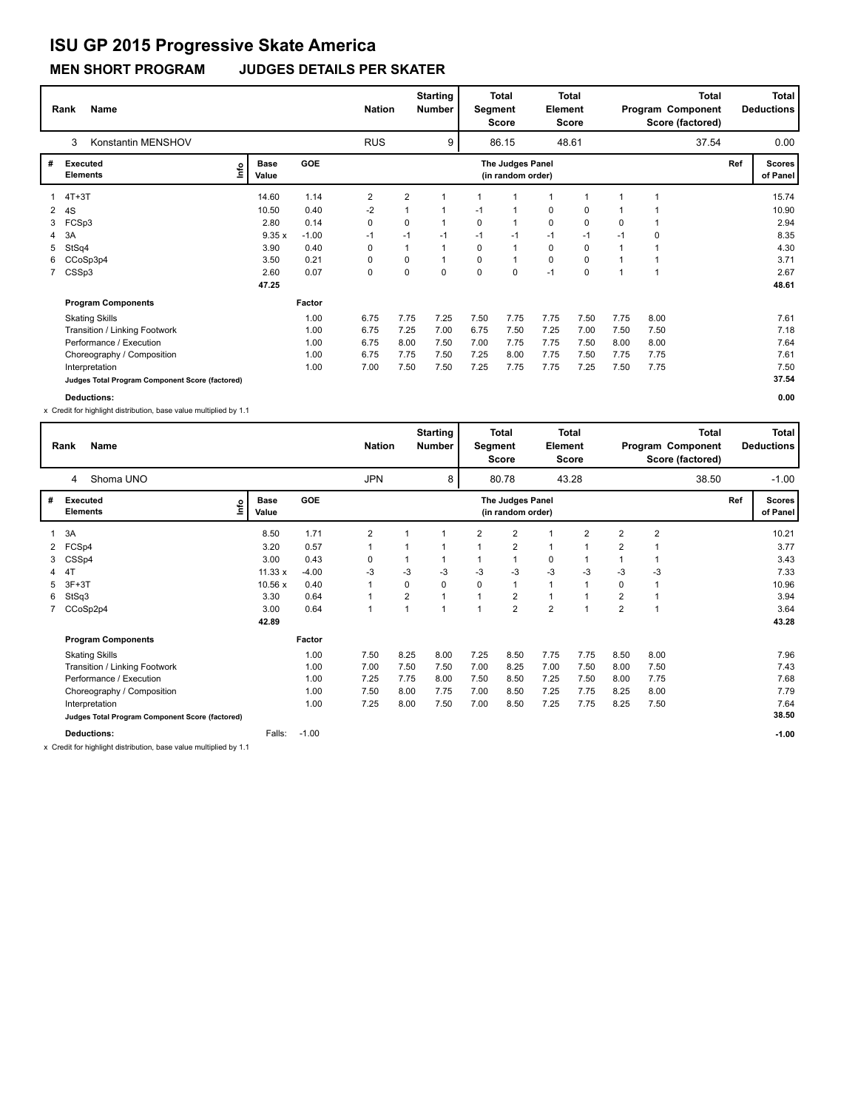### **MEN SHORT PROGRAM JUDGES DETAILS PER SKATER**

|    | <b>Name</b><br>Rank                             |                      |            | <b>Nation</b>  |                | <b>Starting</b><br>Number | Segment  | Total<br><b>Score</b>                 | <b>Element</b> | <b>Total</b><br>Score |      |                | <b>Total</b><br>Program Component<br>Score (factored) |     | <b>Total</b><br><b>Deductions</b> |
|----|-------------------------------------------------|----------------------|------------|----------------|----------------|---------------------------|----------|---------------------------------------|----------------|-----------------------|------|----------------|-------------------------------------------------------|-----|-----------------------------------|
|    | Konstantin MENSHOV<br>3                         |                      |            | <b>RUS</b>     |                | 9                         |          | 86.15                                 |                | 48.61                 |      |                | 37.54                                                 |     | 0.00                              |
| #  | Executed<br>lnfo<br><b>Elements</b>             | <b>Base</b><br>Value | <b>GOE</b> |                |                |                           |          | The Judges Panel<br>(in random order) |                |                       |      |                |                                                       | Ref | <b>Scores</b><br>of Panel         |
| 1  | $4T+3T$                                         | 14.60                | 1.14       | $\overline{2}$ | $\overline{2}$ | 1                         |          | 1                                     | $\mathbf 1$    |                       |      | $\overline{1}$ |                                                       |     | 15.74                             |
| 2  | 4S                                              | 10.50                | 0.40       | $-2$           | 1              | 1                         | $-1$     | 1                                     | 0              | $\mathbf 0$           |      |                |                                                       |     | 10.90                             |
| 3  | FCSp3                                           | 2.80                 | 0.14       | 0              | 0              | $\mathbf{1}$              | 0        | $\mathbf{1}$                          | 0              | $\mathbf 0$           | 0    | $\mathbf 1$    |                                                       |     | 2.94                              |
| 4  | 3A                                              | 9.35x                | $-1.00$    | $-1$           | $-1$           | $-1$                      | $-1$     | $-1$                                  | $-1$           | $-1$                  | $-1$ | 0              |                                                       |     | 8.35                              |
| 5  | StSq4                                           | 3.90                 | 0.40       | 0              | 1              | 1                         | $\Omega$ | $\mathbf{1}$                          | 0              | 0                     |      |                |                                                       |     | 4.30                              |
| 6. | CCoSp3p4                                        | 3.50                 | 0.21       | 0              | 0              | $\mathbf{1}$              | $\Omega$ | $\mathbf{1}$                          | 0              | 0                     |      |                |                                                       |     | 3.71                              |
|    | 7 CSSp3                                         | 2.60                 | 0.07       | 0              | $\mathbf 0$    | 0                         | $\Omega$ | $\mathbf 0$                           | $-1$           | $\mathbf 0$           |      |                |                                                       |     | 2.67                              |
|    |                                                 | 47.25                |            |                |                |                           |          |                                       |                |                       |      |                |                                                       |     | 48.61                             |
|    | <b>Program Components</b>                       |                      | Factor     |                |                |                           |          |                                       |                |                       |      |                |                                                       |     |                                   |
|    | <b>Skating Skills</b>                           |                      | 1.00       | 6.75           | 7.75           | 7.25                      | 7.50     | 7.75                                  | 7.75           | 7.50                  | 7.75 | 8.00           |                                                       |     | 7.61                              |
|    | Transition / Linking Footwork                   |                      | 1.00       | 6.75           | 7.25           | 7.00                      | 6.75     | 7.50                                  | 7.25           | 7.00                  | 7.50 | 7.50           |                                                       |     | 7.18                              |
|    | Performance / Execution                         |                      | 1.00       | 6.75           | 8.00           | 7.50                      | 7.00     | 7.75                                  | 7.75           | 7.50                  | 8.00 | 8.00           |                                                       |     | 7.64                              |
|    | Choreography / Composition                      |                      | 1.00       | 6.75           | 7.75           | 7.50                      | 7.25     | 8.00                                  | 7.75           | 7.50                  | 7.75 | 7.75           |                                                       |     | 7.61                              |
|    | Interpretation                                  |                      | 1.00       | 7.00           | 7.50           | 7.50                      | 7.25     | 7.75                                  | 7.75           | 7.25                  | 7.50 | 7.75           |                                                       |     | 7.50                              |
|    | Judges Total Program Component Score (factored) |                      |            |                |                |                           |          |                                       |                |                       |      |                |                                                       |     | 37.54                             |
|    | <b>Deductions:</b>                              |                      |            |                |                |                           |          |                                       |                |                       |      |                |                                                       |     | 0.00                              |

x Credit for highlight distribution, base value multiplied by 1.1

|   | Name<br>Rank                                    |      |                      |            | <b>Nation</b> |                | <b>Starting</b><br>Number |                | <b>Total</b><br>Segment<br><b>Score</b> | <b>Element</b> | <b>Total</b><br><b>Score</b> |                |                | <b>Total</b><br>Program Component<br>Score (factored) |     | <b>Total</b><br><b>Deductions</b> |
|---|-------------------------------------------------|------|----------------------|------------|---------------|----------------|---------------------------|----------------|-----------------------------------------|----------------|------------------------------|----------------|----------------|-------------------------------------------------------|-----|-----------------------------------|
|   | Shoma UNO<br>4                                  |      |                      |            | <b>JPN</b>    |                | 8                         |                | 80.78                                   |                | 43.28                        |                |                | 38.50                                                 |     | $-1.00$                           |
| # | Executed<br><b>Elements</b>                     | lnfo | <b>Base</b><br>Value | <b>GOE</b> |               |                |                           |                | The Judges Panel<br>(in random order)   |                |                              |                |                |                                                       | Ref | <b>Scores</b><br>of Panel         |
|   | 3A                                              |      | 8.50                 | 1.71       | 2             |                |                           | $\overline{2}$ | $\overline{2}$                          |                | $\overline{2}$               | $\overline{2}$ | $\overline{2}$ |                                                       |     | 10.21                             |
|   | FCSp4                                           |      | 3.20                 | 0.57       |               |                |                           | 1              | 2                                       |                | $\mathbf 1$                  | $\overline{2}$ |                |                                                       |     | 3.77                              |
| 3 | CSSp4                                           |      | 3.00                 | 0.43       | 0             |                |                           |                | $\mathbf{1}$                            | 0              | 1                            |                |                |                                                       |     | 3.43                              |
| 4 | 4T                                              |      | 11.33x               | $-4.00$    | $-3$          | -3             | -3                        | $-3$           | $-3$                                    | $-3$           | -3                           | -3             | -3             |                                                       |     | 7.33                              |
| 5 | $3F+3T$                                         |      | 10.56 x              | 0.40       |               | 0              | $\Omega$                  | 0              | 1                                       |                |                              | 0              |                |                                                       |     | 10.96                             |
| 6 | StSq3                                           |      | 3.30                 | 0.64       |               | $\overline{2}$ |                           |                | 2                                       |                |                              | 2              |                |                                                       |     | 3.94                              |
|   | 7 CCoSp2p4                                      |      | 3.00                 | 0.64       |               |                |                           |                | $\overline{2}$                          | $\overline{2}$ |                              | $\overline{2}$ | 1              |                                                       |     | 3.64                              |
|   |                                                 |      | 42.89                |            |               |                |                           |                |                                         |                |                              |                |                |                                                       |     | 43.28                             |
|   | <b>Program Components</b>                       |      |                      | Factor     |               |                |                           |                |                                         |                |                              |                |                |                                                       |     |                                   |
|   | <b>Skating Skills</b>                           |      |                      | 1.00       | 7.50          | 8.25           | 8.00                      | 7.25           | 8.50                                    | 7.75           | 7.75                         | 8.50           | 8.00           |                                                       |     | 7.96                              |
|   | Transition / Linking Footwork                   |      |                      | 1.00       | 7.00          | 7.50           | 7.50                      | 7.00           | 8.25                                    | 7.00           | 7.50                         | 8.00           | 7.50           |                                                       |     | 7.43                              |
|   | Performance / Execution                         |      |                      | 1.00       | 7.25          | 7.75           | 8.00                      | 7.50           | 8.50                                    | 7.25           | 7.50                         | 8.00           | 7.75           |                                                       |     | 7.68                              |
|   | Choreography / Composition                      |      |                      | 1.00       | 7.50          | 8.00           | 7.75                      | 7.00           | 8.50                                    | 7.25           | 7.75                         | 8.25           | 8.00           |                                                       |     | 7.79                              |
|   | Interpretation                                  |      |                      | 1.00       | 7.25          | 8.00           | 7.50                      | 7.00           | 8.50                                    | 7.25           | 7.75                         | 8.25           | 7.50           |                                                       |     | 7.64                              |
|   | Judges Total Program Component Score (factored) |      |                      |            |               |                |                           |                |                                         |                |                              |                |                |                                                       |     | 38.50                             |
|   | <b>Deductions:</b>                              |      | Falls:               | $-1.00$    |               |                |                           |                |                                         |                |                              |                |                |                                                       |     | $-1.00$                           |

x Credit for highlight distribution, base value multiplied by 1.1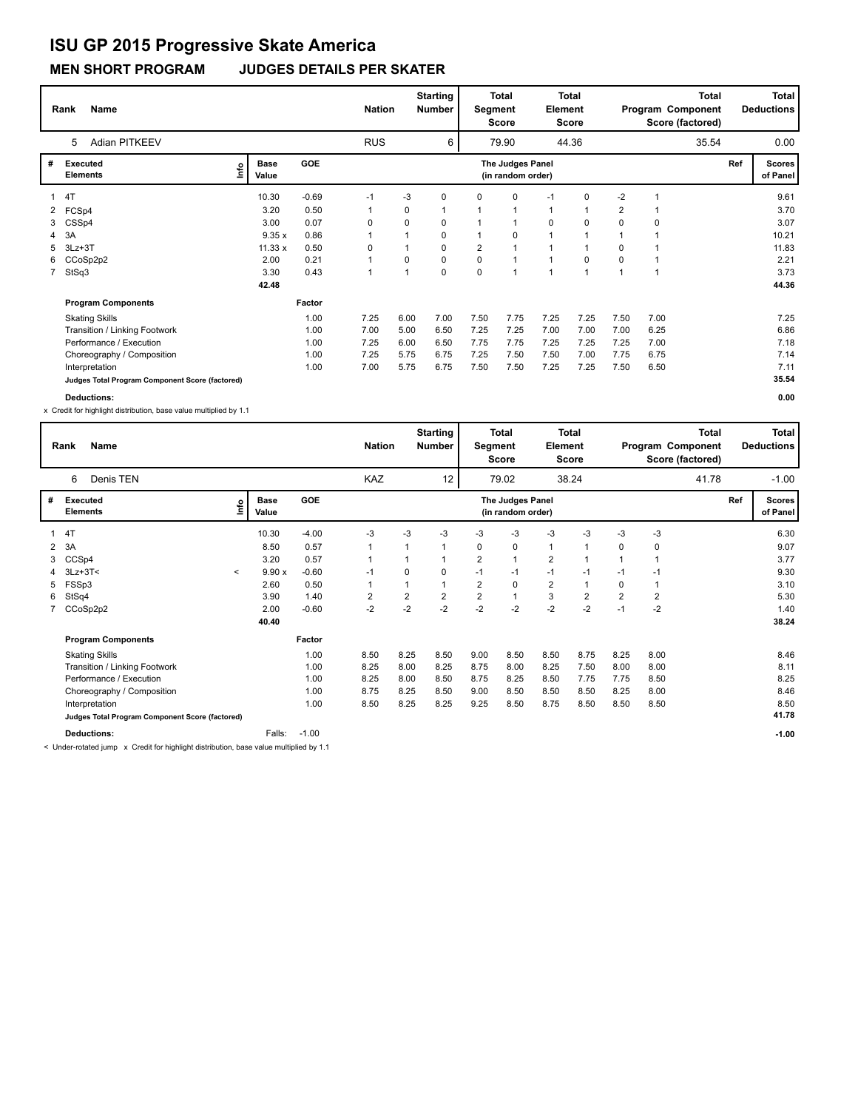### **MEN SHORT PROGRAM JUDGES DETAILS PER SKATER**

|              | <b>Name</b><br>Rank                             |                             |            | <b>Nation</b> |                | <b>Starting</b><br><b>Number</b> | Segment  | Total<br><b>Score</b>                 | <b>Element</b> | <b>Total</b><br><b>Score</b> |                |                | <b>Total</b><br>Program Component<br>Score (factored) |     | Total<br><b>Deductions</b> |
|--------------|-------------------------------------------------|-----------------------------|------------|---------------|----------------|----------------------------------|----------|---------------------------------------|----------------|------------------------------|----------------|----------------|-------------------------------------------------------|-----|----------------------------|
|              | Adian PITKEEV<br>5                              |                             |            | <b>RUS</b>    |                | 6                                |          | 79.90                                 |                | 44.36                        |                |                | 35.54                                                 |     | 0.00                       |
| #            | Executed<br><b>Elements</b>                     | <b>Base</b><br>lmo<br>Value | <b>GOE</b> |               |                |                                  |          | The Judges Panel<br>(in random order) |                |                              |                |                |                                                       | Ref | <b>Scores</b><br>of Panel  |
| 1            | 4T                                              | 10.30                       | $-0.69$    | $-1$          | $-3$           | 0                                | $\Omega$ | $\Omega$                              | $-1$           | 0                            | $-2$           | $\overline{1}$ |                                                       |     | 9.61                       |
| $\mathbf{2}$ | FCSp4                                           | 3.20                        | 0.50       | 1             | 0              | 1                                | 1        | 1                                     | $\mathbf{1}$   |                              | $\overline{2}$ | $\mathbf 1$    |                                                       |     | 3.70                       |
| 3            | CSSp4                                           | 3.00                        | 0.07       | 0             | 0              | 0                                |          | 1                                     | 0              | 0                            | $\Omega$       | 0              |                                                       |     | 3.07                       |
| 4            | 3A                                              | 9.35x                       | 0.86       | 1             | 1              | 0                                |          | 0                                     | $\mathbf{1}$   |                              |                |                |                                                       |     | 10.21                      |
| 5            | $3Lz + 3T$                                      | 11.33 x                     | 0.50       | 0             | 1              | 0                                | 2        | 1                                     | $\mathbf{1}$   |                              | 0              |                |                                                       |     | 11.83                      |
|              | 6 CCoSp2p2                                      | 2.00                        | 0.21       | 1             | $\Omega$       | 0                                | $\Omega$ | $\overline{1}$                        | $\mathbf{1}$   | $\mathbf 0$                  | $\Omega$       | $\overline{ }$ |                                                       |     | 2.21                       |
|              | 7 StSq3                                         | 3.30                        | 0.43       | 1             | $\overline{ }$ | 0                                | $\Omega$ | $\overline{1}$                        | $\overline{1}$ |                              |                | $\overline{1}$ |                                                       |     | 3.73                       |
|              |                                                 | 42.48                       |            |               |                |                                  |          |                                       |                |                              |                |                |                                                       |     | 44.36                      |
|              | <b>Program Components</b>                       |                             | Factor     |               |                |                                  |          |                                       |                |                              |                |                |                                                       |     |                            |
|              | <b>Skating Skills</b>                           |                             | 1.00       | 7.25          | 6.00           | 7.00                             | 7.50     | 7.75                                  | 7.25           | 7.25                         | 7.50           | 7.00           |                                                       |     | 7.25                       |
|              | Transition / Linking Footwork                   |                             | 1.00       | 7.00          | 5.00           | 6.50                             | 7.25     | 7.25                                  | 7.00           | 7.00                         | 7.00           | 6.25           |                                                       |     | 6.86                       |
|              | Performance / Execution                         |                             | 1.00       | 7.25          | 6.00           | 6.50                             | 7.75     | 7.75                                  | 7.25           | 7.25                         | 7.25           | 7.00           |                                                       |     | 7.18                       |
|              | Choreography / Composition                      |                             | 1.00       | 7.25          | 5.75           | 6.75                             | 7.25     | 7.50                                  | 7.50           | 7.00                         | 7.75           | 6.75           |                                                       |     | 7.14                       |
|              | Interpretation                                  |                             | 1.00       | 7.00          | 5.75           | 6.75                             | 7.50     | 7.50                                  | 7.25           | 7.25                         | 7.50           | 6.50           |                                                       |     | 7.11                       |
|              | Judges Total Program Component Score (factored) |                             |            |               |                |                                  |          |                                       |                |                              |                |                |                                                       |     | 35.54                      |
|              | <b>Deductions:</b>                              |                             |            |               |                |                                  |          |                                       |                |                              |                |                |                                                       |     | 0.00                       |

x Credit for highlight distribution, base value multiplied by 1.1

|   | <b>Name</b><br>Rank                             |                          |                      |            | <b>Nation</b>           |      | <b>Starting</b><br><b>Number</b> | Segment                 | <b>Total</b><br><b>Score</b>          | Element                 | <b>Total</b><br><b>Score</b> |                |                         | Total<br>Program Component<br>Score (factored) |     | Total<br><b>Deductions</b> |
|---|-------------------------------------------------|--------------------------|----------------------|------------|-------------------------|------|----------------------------------|-------------------------|---------------------------------------|-------------------------|------------------------------|----------------|-------------------------|------------------------------------------------|-----|----------------------------|
|   | Denis TEN<br>6                                  |                          |                      |            | KAZ                     |      | 12                               |                         | 79.02                                 |                         | 38.24                        |                |                         | 41.78                                          |     | $-1.00$                    |
| # | Executed<br><b>Elements</b>                     | lnfo                     | <b>Base</b><br>Value | <b>GOE</b> |                         |      |                                  |                         | The Judges Panel<br>(in random order) |                         |                              |                |                         |                                                | Ref | <b>Scores</b><br>of Panel  |
|   | 4T                                              |                          | 10.30                | $-4.00$    | -3                      | $-3$ | $-3$                             | -3                      | -3                                    | $-3$                    | $-3$                         | $-3$           | $-3$                    |                                                |     | 6.30                       |
| 2 | 3A                                              |                          | 8.50                 | 0.57       | 1                       |      | 1                                | 0                       | 0                                     | $\mathbf{1}$            | -1                           | 0              | $\mathbf 0$             |                                                |     | 9.07                       |
|   | CCSp4                                           |                          | 3.20                 | 0.57       |                         |      |                                  | $\overline{2}$          | $\mathbf{1}$                          | $\overline{\mathbf{c}}$ | 1                            |                |                         |                                                |     | 3.77                       |
|   | $3Lz + 3T <$                                    | $\overline{\phantom{a}}$ | 9.90x                | $-0.60$    | $-1$                    | 0    | 0                                | $-1$                    | $-1$                                  | $-1$                    | -1                           | $-1$           | $-1$                    |                                                |     | 9.30                       |
| 5 | FSSp3                                           |                          | 2.60                 | 0.50       |                         |      |                                  | $\overline{2}$          | $\mathbf 0$                           | $\overline{\mathbf{c}}$ | 1                            | 0              |                         |                                                |     | 3.10                       |
| 6 | StSq4                                           |                          | 3.90                 | 1.40       | $\overline{\mathbf{c}}$ | 2    | 2                                | $\overline{\mathbf{c}}$ | $\mathbf{1}$                          | 3                       | $\overline{2}$               | $\overline{2}$ | $\overline{\mathbf{c}}$ |                                                |     | 5.30                       |
|   | 7 CCoSp2p2                                      |                          | 2.00                 | $-0.60$    | $-2$                    | $-2$ | $-2$                             | $-2$                    | $-2$                                  | $-2$                    | $-2$                         | $-1$           | $-2$                    |                                                |     | 1.40                       |
|   |                                                 |                          | 40.40                |            |                         |      |                                  |                         |                                       |                         |                              |                |                         |                                                |     | 38.24                      |
|   | <b>Program Components</b>                       |                          |                      | Factor     |                         |      |                                  |                         |                                       |                         |                              |                |                         |                                                |     |                            |
|   | <b>Skating Skills</b>                           |                          |                      | 1.00       | 8.50                    | 8.25 | 8.50                             | 9.00                    | 8.50                                  | 8.50                    | 8.75                         | 8.25           | 8.00                    |                                                |     | 8.46                       |
|   | Transition / Linking Footwork                   |                          |                      | 1.00       | 8.25                    | 8.00 | 8.25                             | 8.75                    | 8.00                                  | 8.25                    | 7.50                         | 8.00           | 8.00                    |                                                |     | 8.11                       |
|   | Performance / Execution                         |                          |                      | 1.00       | 8.25                    | 8.00 | 8.50                             | 8.75                    | 8.25                                  | 8.50                    | 7.75                         | 7.75           | 8.50                    |                                                |     | 8.25                       |
|   | Choreography / Composition                      |                          |                      | 1.00       | 8.75                    | 8.25 | 8.50                             | 9.00                    | 8.50                                  | 8.50                    | 8.50                         | 8.25           | 8.00                    |                                                |     | 8.46                       |
|   | Interpretation                                  |                          |                      | 1.00       | 8.50                    | 8.25 | 8.25                             | 9.25                    | 8.50                                  | 8.75                    | 8.50                         | 8.50           | 8.50                    |                                                |     | 8.50                       |
|   | Judges Total Program Component Score (factored) |                          |                      |            |                         |      |                                  |                         |                                       |                         |                              |                |                         |                                                |     | 41.78                      |
|   | <b>Deductions:</b>                              |                          | Falls:               | $-1.00$    |                         |      |                                  |                         |                                       |                         |                              |                |                         |                                                |     | $-1.00$                    |

< Under-rotated jump x Credit for highlight distribution, base value multiplied by 1.1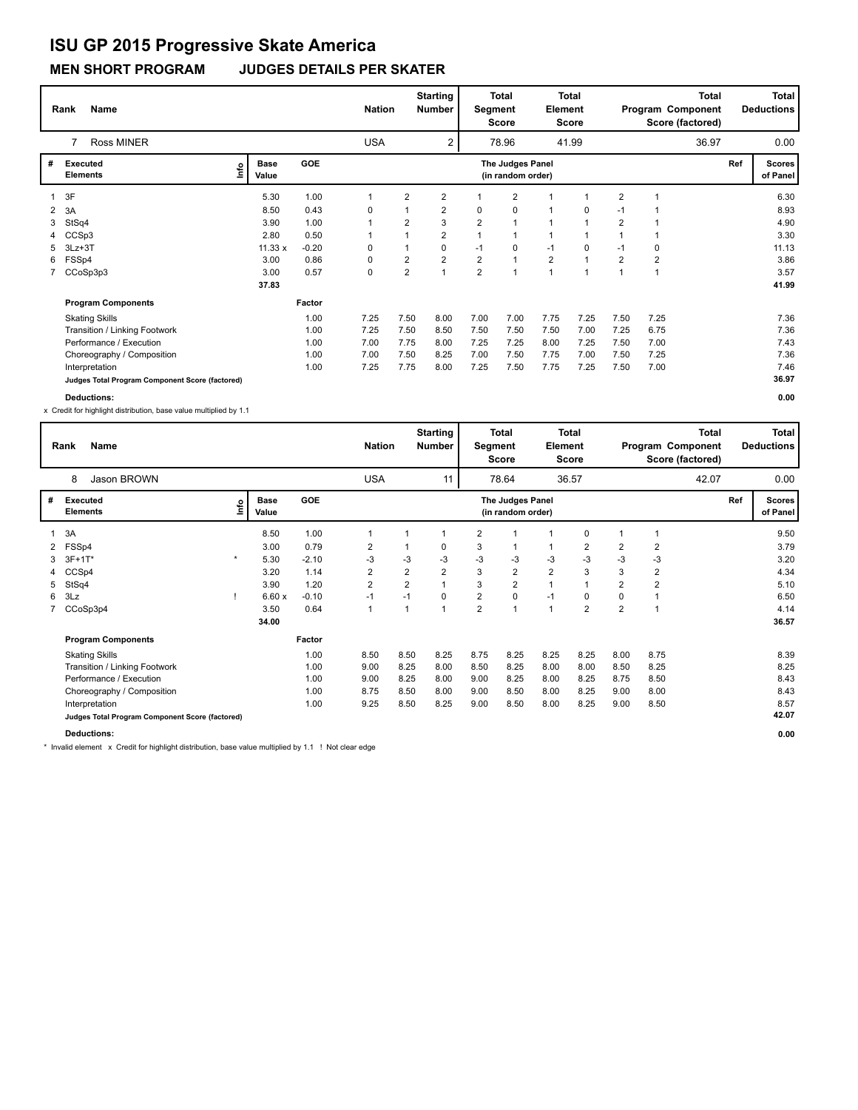### **MEN SHORT PROGRAM JUDGES DETAILS PER SKATER**

|   | Name<br>Rank                                    |                              |            | <b>Nation</b> |                         | <b>Starting</b><br><b>Number</b> | Segment        | <b>Total</b><br><b>Score</b>          | Element        | <b>Total</b><br><b>Score</b> |                |                | <b>Total</b><br>Program Component<br>Score (factored) |     | Total<br><b>Deductions</b> |
|---|-------------------------------------------------|------------------------------|------------|---------------|-------------------------|----------------------------------|----------------|---------------------------------------|----------------|------------------------------|----------------|----------------|-------------------------------------------------------|-----|----------------------------|
|   | <b>Ross MINER</b><br>7                          |                              |            | <b>USA</b>    |                         | 2                                |                | 78.96                                 |                | 41.99                        |                |                | 36.97                                                 |     | 0.00                       |
| # | <b>Executed</b><br><b>Elements</b>              | <b>Base</b><br>١mfo<br>Value | <b>GOE</b> |               |                         |                                  |                | The Judges Panel<br>(in random order) |                |                              |                |                |                                                       | Ref | <b>Scores</b><br>of Panel  |
|   | 3F                                              | 5.30                         | 1.00       | $\mathbf{1}$  | 2                       | $\overline{2}$                   |                | $\overline{2}$                        |                |                              | $\overline{2}$ |                |                                                       |     | 6.30                       |
|   | 3A                                              | 8.50                         | 0.43       | 0             |                         | $\overline{2}$                   | 0              | 0                                     | $\mathbf{1}$   | 0                            | $-1$           |                |                                                       |     | 8.93                       |
| 3 | StSq4                                           | 3.90                         | 1.00       | $\mathbf{1}$  | $\overline{2}$          | 3                                | $\overline{2}$ | $\overline{1}$                        | $\mathbf{1}$   | $\overline{1}$               | $\overline{2}$ |                |                                                       |     | 4.90                       |
|   | CCSp3                                           | 2.80                         | 0.50       | 1             |                         | $\overline{2}$                   | $\mathbf{1}$   | $\overline{1}$                        | $\mathbf{1}$   |                              | $\mathbf{1}$   |                |                                                       |     | 3.30                       |
| 5 | $3Lz + 3T$                                      | 11.33 x                      | $-0.20$    | 0             |                         | 0                                | $-1$           | 0                                     | $-1$           | 0                            | -1             | 0              |                                                       |     | 11.13                      |
| 6 | FSSp4                                           | 3.00                         | 0.86       | 0             | $\overline{\mathbf{c}}$ | $\overline{2}$                   | $\overline{2}$ | $\overline{1}$                        | $\overline{2}$ |                              | $\overline{2}$ | $\overline{2}$ |                                                       |     | 3.86                       |
|   | 7 CCoSp3p3                                      | 3.00                         | 0.57       | 0             | $\overline{2}$          | 1                                | $\overline{2}$ | $\overline{\mathbf{1}}$               | $\overline{1}$ |                              | $\overline{ }$ |                |                                                       |     | 3.57                       |
|   |                                                 | 37.83                        |            |               |                         |                                  |                |                                       |                |                              |                |                |                                                       |     | 41.99                      |
|   | <b>Program Components</b>                       |                              | Factor     |               |                         |                                  |                |                                       |                |                              |                |                |                                                       |     |                            |
|   | <b>Skating Skills</b>                           |                              | 1.00       | 7.25          | 7.50                    | 8.00                             | 7.00           | 7.00                                  | 7.75           | 7.25                         | 7.50           | 7.25           |                                                       |     | 7.36                       |
|   | Transition / Linking Footwork                   |                              | 1.00       | 7.25          | 7.50                    | 8.50                             | 7.50           | 7.50                                  | 7.50           | 7.00                         | 7.25           | 6.75           |                                                       |     | 7.36                       |
|   | Performance / Execution                         |                              | 1.00       | 7.00          | 7.75                    | 8.00                             | 7.25           | 7.25                                  | 8.00           | 7.25                         | 7.50           | 7.00           |                                                       |     | 7.43                       |
|   | Choreography / Composition                      |                              | 1.00       | 7.00          | 7.50                    | 8.25                             | 7.00           | 7.50                                  | 7.75           | 7.00                         | 7.50           | 7.25           |                                                       |     | 7.36                       |
|   | Interpretation                                  |                              | 1.00       | 7.25          | 7.75                    | 8.00                             | 7.25           | 7.50                                  | 7.75           | 7.25                         | 7.50           | 7.00           |                                                       |     | 7.46                       |
|   | Judges Total Program Component Score (factored) |                              |            |               |                         |                                  |                |                                       |                |                              |                |                |                                                       |     | 36.97                      |
|   | Deductions:                                     |                              |            |               |                         |                                  |                |                                       |                |                              |                |                |                                                       |     | 0.00                       |

x Credit for highlight distribution, base value multiplied by 1.1

|   | Name<br>Rank                                    |         |                      |         | <b>Nation</b>  |                | <b>Starting</b><br><b>Number</b> | Segment | Total<br>Score                        | Element        | <b>Total</b><br>Score |                |                | <b>Total</b><br>Program Component<br>Score (factored) |     | <b>Total</b><br><b>Deductions</b> |
|---|-------------------------------------------------|---------|----------------------|---------|----------------|----------------|----------------------------------|---------|---------------------------------------|----------------|-----------------------|----------------|----------------|-------------------------------------------------------|-----|-----------------------------------|
|   | Jason BROWN<br>8                                |         |                      |         | <b>USA</b>     |                | 11                               |         | 78.64                                 |                | 36.57                 |                |                | 42.07                                                 |     | 0.00                              |
| # | Executed<br><b>Elements</b>                     | e       | <b>Base</b><br>Value | GOE     |                |                |                                  |         | The Judges Panel<br>(in random order) |                |                       |                |                |                                                       | Ref | <b>Scores</b><br>of Panel         |
|   | 3A                                              |         | 8.50                 | 1.00    | 1              |                | 1                                | 2       | $\mathbf 1$                           |                | 0                     |                | $\mathbf 1$    |                                                       |     | 9.50                              |
| 2 | FSSp4                                           |         | 3.00                 | 0.79    | 2              |                | 0                                | 3       | 1                                     | 1              | 2                     | 2              | 2              |                                                       |     | 3.79                              |
| 3 | $3F+1T*$                                        | $\star$ | 5.30                 | $-2.10$ | -3             | -3             | -3                               | -3      | -3                                    | $-3$           | -3                    | -3             | -3             |                                                       |     | 3.20                              |
|   | CCSp4                                           |         | 3.20                 | 1.14    | 2              | 2              | 2                                | 3       | 2                                     | $\overline{2}$ | 3                     | 3              | 2              |                                                       |     | 4.34                              |
| 5 | StSq4                                           |         | 3.90                 | 1.20    | $\overline{2}$ | $\overline{2}$ |                                  | 3       | $\overline{2}$                        | $\mathbf{1}$   |                       | 2              | $\overline{2}$ |                                                       |     | 5.10                              |
| 6 | 3Lz                                             |         | 6.60x                | $-0.10$ | $-1$           | $-1$           | 0                                | 2       | 0                                     | $-1$           | 0                     | 0              | -1             |                                                       |     | 6.50                              |
|   | CCoSp3p4                                        |         | 3.50                 | 0.64    | $\overline{1}$ |                | 1                                | 2       | $\mathbf{1}$                          | $\mathbf{1}$   | $\overline{2}$        | $\overline{2}$ | -1             |                                                       |     | 4.14                              |
|   |                                                 |         | 34.00                |         |                |                |                                  |         |                                       |                |                       |                |                |                                                       |     | 36.57                             |
|   | <b>Program Components</b>                       |         |                      | Factor  |                |                |                                  |         |                                       |                |                       |                |                |                                                       |     |                                   |
|   | <b>Skating Skills</b>                           |         |                      | 1.00    | 8.50           | 8.50           | 8.25                             | 8.75    | 8.25                                  | 8.25           | 8.25                  | 8.00           | 8.75           |                                                       |     | 8.39                              |
|   | Transition / Linking Footwork                   |         |                      | 1.00    | 9.00           | 8.25           | 8.00                             | 8.50    | 8.25                                  | 8.00           | 8.00                  | 8.50           | 8.25           |                                                       |     | 8.25                              |
|   | Performance / Execution                         |         |                      | 1.00    | 9.00           | 8.25           | 8.00                             | 9.00    | 8.25                                  | 8.00           | 8.25                  | 8.75           | 8.50           |                                                       |     | 8.43                              |
|   | Choreography / Composition                      |         |                      | 1.00    | 8.75           | 8.50           | 8.00                             | 9.00    | 8.50                                  | 8.00           | 8.25                  | 9.00           | 8.00           |                                                       |     | 8.43                              |
|   | Interpretation                                  |         |                      | 1.00    | 9.25           | 8.50           | 8.25                             | 9.00    | 8.50                                  | 8.00           | 8.25                  | 9.00           | 8.50           |                                                       |     | 8.57                              |
|   | Judges Total Program Component Score (factored) |         |                      |         |                |                |                                  |         |                                       |                |                       |                |                |                                                       |     | 42.07                             |
|   | <b>Deductions:</b>                              |         |                      |         |                |                |                                  |         |                                       |                |                       |                |                |                                                       |     | 0.00                              |

\* Invalid element x Credit for highlight distribution, base value multiplied by 1.1 ! Not clear edge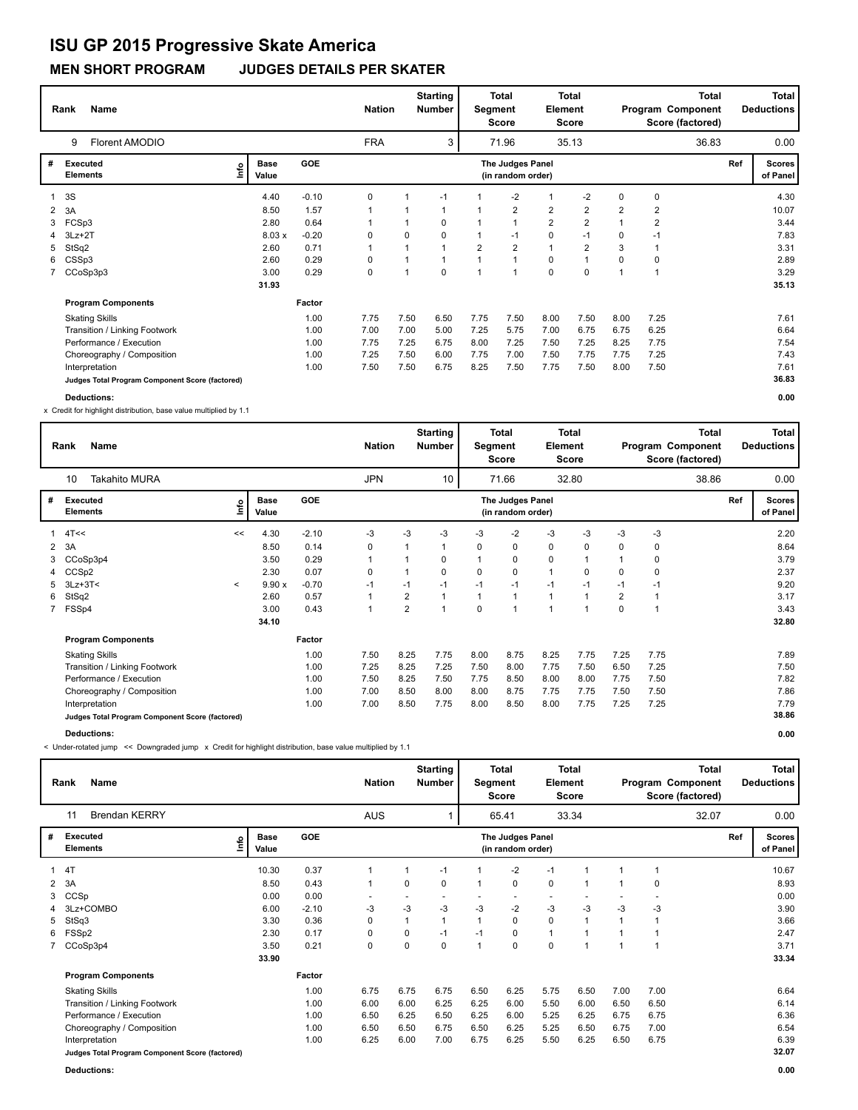### **MEN SHORT PROGRAM JUDGES DETAILS PER SKATER**

|   | Name<br>Rank                                    |    |                      |            | <b>Nation</b> |      | <b>Starting</b><br><b>Number</b> |      | <b>Total</b><br>Segment<br>Score      | <b>Element</b> | <b>Total</b><br>Score |                |                | <b>Total</b><br>Program Component<br>Score (factored) |     | <b>Total</b><br><b>Deductions</b> |
|---|-------------------------------------------------|----|----------------------|------------|---------------|------|----------------------------------|------|---------------------------------------|----------------|-----------------------|----------------|----------------|-------------------------------------------------------|-----|-----------------------------------|
|   | Florent AMODIO<br>9                             |    |                      |            | <b>FRA</b>    |      | 3                                |      | 71.96                                 |                | 35.13                 |                |                | 36.83                                                 |     | 0.00                              |
| # | <b>Executed</b><br><b>Elements</b>              | ١m | <b>Base</b><br>Value | <b>GOE</b> |               |      |                                  |      | The Judges Panel<br>(in random order) |                |                       |                |                |                                                       | Ref | <b>Scores</b><br>of Panel         |
|   | 3S                                              |    | 4.40                 | $-0.10$    | 0             |      | $-1$                             |      | $-2$                                  | 1              | $-2$                  | 0              | $\mathbf 0$    |                                                       |     | 4.30                              |
| 2 | 3A                                              |    | 8.50                 | 1.57       |               |      | 1                                |      | $\overline{2}$                        | $\overline{2}$ | $\overline{2}$        | $\overline{2}$ | $\overline{2}$ |                                                       |     | 10.07                             |
| 3 | FCSp3                                           |    | 2.80                 | 0.64       |               |      | 0                                |      | $\overline{1}$                        | $\overline{2}$ | $\overline{2}$        |                | $\overline{2}$ |                                                       |     | 3.44                              |
|   | $3Lz + 2T$                                      |    | 8.03x                | $-0.20$    | 0             | 0    | 0                                |      | $-1$                                  | 0              | $-1$                  | 0              | $-1$           |                                                       |     | 7.83                              |
| 5 | StSq2                                           |    | 2.60                 | 0.71       |               | 1    | $\mathbf{1}$                     | 2    | $\overline{2}$                        | $\mathbf{1}$   | $\overline{2}$        | 3              |                |                                                       |     | 3.31                              |
| 6 | CSSp3                                           |    | 2.60                 | 0.29       | 0             | 1    | $\mathbf{1}$                     |      | $\overline{1}$                        | 0              | 1                     | 0              | 0              |                                                       |     | 2.89                              |
|   | CCoSp3p3                                        |    | 3.00                 | 0.29       | 0             | 1    | 0                                | 1    | -1                                    | $\mathbf 0$    | $\mathbf 0$           | $\overline{1}$ |                |                                                       |     | 3.29                              |
|   |                                                 |    | 31.93                |            |               |      |                                  |      |                                       |                |                       |                |                |                                                       |     | 35.13                             |
|   | <b>Program Components</b>                       |    |                      | Factor     |               |      |                                  |      |                                       |                |                       |                |                |                                                       |     |                                   |
|   | <b>Skating Skills</b>                           |    |                      | 1.00       | 7.75          | 7.50 | 6.50                             | 7.75 | 7.50                                  | 8.00           | 7.50                  | 8.00           | 7.25           |                                                       |     | 7.61                              |
|   | Transition / Linking Footwork                   |    |                      | 1.00       | 7.00          | 7.00 | 5.00                             | 7.25 | 5.75                                  | 7.00           | 6.75                  | 6.75           | 6.25           |                                                       |     | 6.64                              |
|   | Performance / Execution                         |    |                      | 1.00       | 7.75          | 7.25 | 6.75                             | 8.00 | 7.25                                  | 7.50           | 7.25                  | 8.25           | 7.75           |                                                       |     | 7.54                              |
|   | Choreography / Composition                      |    |                      | 1.00       | 7.25          | 7.50 | 6.00                             | 7.75 | 7.00                                  | 7.50           | 7.75                  | 7.75           | 7.25           |                                                       |     | 7.43                              |
|   | Interpretation                                  |    |                      | 1.00       | 7.50          | 7.50 | 6.75                             | 8.25 | 7.50                                  | 7.75           | 7.50                  | 8.00           | 7.50           |                                                       |     | 7.61                              |
|   | Judges Total Program Component Score (factored) |    |                      |            |               |      |                                  |      |                                       |                |                       |                |                |                                                       |     | 36.83                             |
|   | <b>Deductions:</b>                              |    |                      |            |               |      |                                  |      |                                       |                |                       |                |                |                                                       |     | 0.00                              |

x Credit for highlight distribution, base value multiplied by 1.1

|   | Name<br>Rank                                    |         |                      |            | <b>Nation</b> |                | <b>Starting</b><br><b>Number</b> | Segment | <b>Total</b><br><b>Score</b>          | Element        | <b>Total</b><br>Score |                |                | Total<br>Program Component<br>Score (factored) |     | <b>Total</b><br><b>Deductions</b> |
|---|-------------------------------------------------|---------|----------------------|------------|---------------|----------------|----------------------------------|---------|---------------------------------------|----------------|-----------------------|----------------|----------------|------------------------------------------------|-----|-----------------------------------|
|   | <b>Takahito MURA</b><br>10                      |         |                      |            | <b>JPN</b>    |                | 10                               |         | 71.66                                 |                | 32.80                 |                |                | 38.86                                          |     | 0.00                              |
| # | Executed<br><b>Elements</b>                     | ۴ů      | <b>Base</b><br>Value | <b>GOE</b> |               |                |                                  |         | The Judges Panel<br>(in random order) |                |                       |                |                |                                                | Ref | Scores<br>of Panel                |
|   | $1 \quad 4$ T<<                                 | <<      | 4.30                 | $-2.10$    | -3            | $-3$           | -3                               | -3      | $-2$                                  | -3             | -3                    | -3             | -3             |                                                |     | 2.20                              |
|   | 2 3A                                            |         | 8.50                 | 0.14       | 0             |                |                                  | 0       | $\mathbf 0$                           | 0              | 0                     | 0              | 0              |                                                |     | 8.64                              |
| 3 | CCoSp3p4                                        |         | 3.50                 | 0.29       | $\mathbf{1}$  |                | 0                                | 1       | 0                                     | $\mathbf 0$    | 1                     |                | 0              |                                                |     | 3.79                              |
| 4 | CCSp2                                           |         | 2.30                 | 0.07       | 0             |                | $\Omega$                         | 0       | 0                                     | $\mathbf{1}$   | $\Omega$              | 0              | 0              |                                                |     | 2.37                              |
| 5 | $3Lz + 3T <$                                    | $\prec$ | 9.90x                | $-0.70$    | $-1$          | $-1$           | $-1$                             | $-1$    | $-1$                                  | $-1$           | $-1$                  | $-1$           | $-1$           |                                                |     | 9.20                              |
| 6 | StSq2                                           |         | 2.60                 | 0.57       | $\mathbf{1}$  | 2              |                                  | 1       | $\overline{1}$                        | $\mathbf{1}$   | $\mathbf{1}$          | $\overline{2}$ | $\overline{1}$ |                                                |     | 3.17                              |
|   | 7 FSSp4                                         |         | 3.00                 | 0.43       | $\mathbf{1}$  | $\overline{2}$ | $\overline{ }$                   | 0       | 1                                     | $\overline{ }$ | $\mathbf{1}$          | 0              | $\overline{1}$ |                                                |     | 3.43                              |
|   |                                                 |         | 34.10                |            |               |                |                                  |         |                                       |                |                       |                |                |                                                |     | 32.80                             |
|   | <b>Program Components</b>                       |         |                      | Factor     |               |                |                                  |         |                                       |                |                       |                |                |                                                |     |                                   |
|   | <b>Skating Skills</b>                           |         |                      | 1.00       | 7.50          | 8.25           | 7.75                             | 8.00    | 8.75                                  | 8.25           | 7.75                  | 7.25           | 7.75           |                                                |     | 7.89                              |
|   | Transition / Linking Footwork                   |         |                      | 1.00       | 7.25          | 8.25           | 7.25                             | 7.50    | 8.00                                  | 7.75           | 7.50                  | 6.50           | 7.25           |                                                |     | 7.50                              |
|   | Performance / Execution                         |         |                      | 1.00       | 7.50          | 8.25           | 7.50                             | 7.75    | 8.50                                  | 8.00           | 8.00                  | 7.75           | 7.50           |                                                |     | 7.82                              |
|   | Choreography / Composition                      |         |                      | 1.00       | 7.00          | 8.50           | 8.00                             | 8.00    | 8.75                                  | 7.75           | 7.75                  | 7.50           | 7.50           |                                                |     | 7.86                              |
|   | Interpretation                                  |         |                      | 1.00       | 7.00          | 8.50           | 7.75                             | 8.00    | 8.50                                  | 8.00           | 7.75                  | 7.25           | 7.25           |                                                |     | 7.79                              |
|   | Judges Total Program Component Score (factored) |         |                      |            |               |                |                                  |         |                                       |                |                       |                |                |                                                |     | 38.86                             |
|   | <b>Deductions:</b>                              |         |                      |            |               |                |                                  |         |                                       |                |                       |                |                |                                                |     | 0.00                              |

< Under-rotated jump << Downgraded jump x Credit for highlight distribution, base value multiplied by 1.1

|                | <b>Name</b><br>Rank                             |                                     |         | <b>Nation</b> |              | <b>Starting</b><br><b>Number</b> | Segment        | <b>Total</b><br><b>Score</b>          | Element     | <b>Total</b><br>Score |      |      | Total<br>Program Component<br>Score (factored) |     | Total<br><b>Deductions</b> |
|----------------|-------------------------------------------------|-------------------------------------|---------|---------------|--------------|----------------------------------|----------------|---------------------------------------|-------------|-----------------------|------|------|------------------------------------------------|-----|----------------------------|
|                | <b>Brendan KERRY</b><br>11                      |                                     |         | <b>AUS</b>    |              |                                  |                | 65.41                                 |             | 33.34                 |      |      | 32.07                                          |     | 0.00                       |
| #              | <b>Executed</b><br><b>Elements</b>              | <b>Base</b><br><u>info</u><br>Value | GOE     |               |              |                                  |                | The Judges Panel<br>(in random order) |             |                       |      |      |                                                | Ref | <b>Scores</b><br>of Panel  |
|                | 4T                                              | 10.30                               | 0.37    |               | 1            | $-1$                             |                | $-2$                                  | $-1$        |                       |      |      |                                                |     | 10.67                      |
| $\overline{2}$ | 3A                                              | 8.50                                | 0.43    | $\mathbf{1}$  | 0            | $\mathbf 0$                      | 1              | $\Omega$                              | $\mathbf 0$ | $\mathbf 1$           |      | O    |                                                |     | 8.93                       |
| 3              | CCSp                                            | 0.00                                | 0.00    |               |              |                                  |                |                                       |             |                       |      |      |                                                |     | 0.00                       |
|                | 3Lz+COMBO                                       | 6.00                                | $-2.10$ | -3            | $-3$         | $-3$                             | $-3$           | $-2$                                  | $-3$        | $-3$                  | $-3$ | -3   |                                                |     | 3.90                       |
| 5              | StSq3                                           | 3.30                                | 0.36    | 0             | $\mathbf{1}$ |                                  | 1              | $\Omega$                              | $\mathbf 0$ | $\overline{A}$        |      |      |                                                |     | 3.66                       |
| 6              | FSSp2                                           | 2.30                                | 0.17    | 0             | $\mathbf 0$  | $-1$                             | $-1$           | 0                                     |             |                       |      |      |                                                |     | 2.47                       |
|                | CCoSp3p4                                        | 3.50                                | 0.21    | 0             | $\mathbf 0$  | $\Omega$                         | $\overline{ }$ | $\Omega$                              | 0           | $\overline{A}$        |      |      |                                                |     | 3.71                       |
|                |                                                 | 33.90                               |         |               |              |                                  |                |                                       |             |                       |      |      |                                                |     | 33.34                      |
|                | <b>Program Components</b>                       |                                     | Factor  |               |              |                                  |                |                                       |             |                       |      |      |                                                |     |                            |
|                | <b>Skating Skills</b>                           |                                     | 1.00    | 6.75          | 6.75         | 6.75                             | 6.50           | 6.25                                  | 5.75        | 6.50                  | 7.00 | 7.00 |                                                |     | 6.64                       |
|                | Transition / Linking Footwork                   |                                     | 1.00    | 6.00          | 6.00         | 6.25                             | 6.25           | 6.00                                  | 5.50        | 6.00                  | 6.50 | 6.50 |                                                |     | 6.14                       |
|                | Performance / Execution                         |                                     | 1.00    | 6.50          | 6.25         | 6.50                             | 6.25           | 6.00                                  | 5.25        | 6.25                  | 6.75 | 6.75 |                                                |     | 6.36                       |
|                | Choreography / Composition                      |                                     | 1.00    | 6.50          | 6.50         | 6.75                             | 6.50           | 6.25                                  | 5.25        | 6.50                  | 6.75 | 7.00 |                                                |     | 6.54                       |
|                | Interpretation                                  |                                     | 1.00    | 6.25          | 6.00         | 7.00                             | 6.75           | 6.25                                  | 5.50        | 6.25                  | 6.50 | 6.75 |                                                |     | 6.39                       |
|                | Judges Total Program Component Score (factored) |                                     |         |               |              |                                  |                |                                       |             |                       |      |      |                                                |     | 32.07                      |

**Deductions: 0.00**